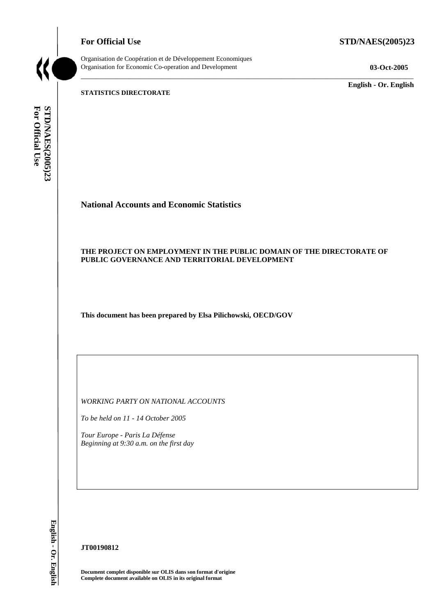**For Official Use STD/NAES(2005)23** 



Organisation de Coopération et de Développement Economiques Organisation for Economic Co-operation and Development **03-Oct-2005** 

\_\_\_\_\_\_\_\_\_\_\_\_\_ **English - Or. English** 

**STATISTICS DIRECTORATE** 

For Official Use STD/NAES(2005)23 **For Official Use STD/NAES(2005)23 English - Or. English**

# **National Accounts and Economic Statistics**

# **THE PROJECT ON EMPLOYMENT IN THE PUBLIC DOMAIN OF THE DIRECTORATE OF PUBLIC GOVERNANCE AND TERRITORIAL DEVELOPMENT**

\_\_\_\_\_\_\_\_\_\_\_\_\_\_\_\_\_\_\_\_\_\_\_\_\_\_\_\_\_\_\_\_\_\_\_\_\_\_\_\_\_\_\_\_\_\_\_\_\_\_\_\_\_\_\_\_\_\_\_\_\_\_\_\_\_\_\_\_\_\_\_\_\_\_\_\_\_\_\_\_\_\_\_\_\_\_\_\_\_\_\_

**This document has been prepared by Elsa Pilichowski, OECD/GOV** 

*WORKING PARTY ON NATIONAL ACCOUNTS* 

*To be held on 11 - 14 October 2005* 

*Tour Europe - Paris La Défense Beginning at 9:30 a.m. on the first day* 

English - Or. English

#### **JT00190812**

**Document complet disponible sur OLIS dans son format d'origine Complete document available on OLIS in its original format**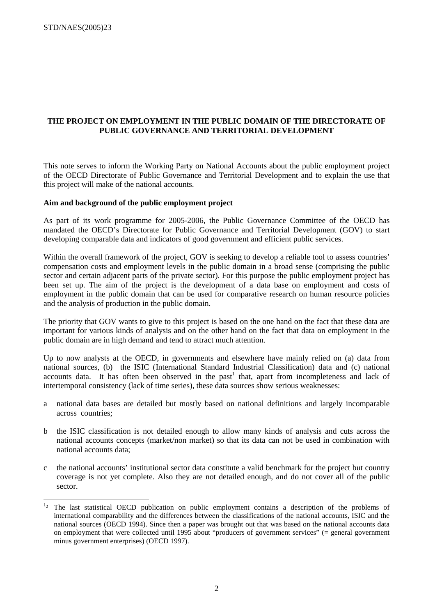# **THE PROJECT ON EMPLOYMENT IN THE PUBLIC DOMAIN OF THE DIRECTORATE OF PUBLIC GOVERNANCE AND TERRITORIAL DEVELOPMENT**

This note serves to inform the Working Party on National Accounts about the public employment project of the OECD Directorate of Public Governance and Territorial Development and to explain the use that this project will make of the national accounts.

#### **Aim and background of the public employment project**

As part of its work programme for 2005-2006, the Public Governance Committee of the OECD has mandated the OECD's Directorate for Public Governance and Territorial Development (GOV) to start developing comparable data and indicators of good government and efficient public services.

Within the overall framework of the project, GOV is seeking to develop a reliable tool to assess countries' compensation costs and employment levels in the public domain in a broad sense (comprising the public sector and certain adjacent parts of the private sector). For this purpose the public employment project has been set up. The aim of the project is the development of a data base on employment and costs of employment in the public domain that can be used for comparative research on human resource policies and the analysis of production in the public domain.

The priority that GOV wants to give to this project is based on the one hand on the fact that these data are important for various kinds of analysis and on the other hand on the fact that data on employment in the public domain are in high demand and tend to attract much attention.

Up to now analysts at the OECD, in governments and elsewhere have mainly relied on (a) data from national sources, (b) the ISIC (International Standard Industrial Classification) data and (c) national accounts data. It has often been observed in the past<sup>1</sup> that, apart from incompleteness and lack of intertemporal consistency (lack of time series), these data sources show serious weaknesses:

- a national data bases are detailed but mostly based on national definitions and largely incomparable across countries;
- b the ISIC classification is not detailed enough to allow many kinds of analysis and cuts across the national accounts concepts (market/non market) so that its data can not be used in combination with national accounts data;
- c the national accounts' institutional sector data constitute a valid benchmark for the project but country coverage is not yet complete. Also they are not detailed enough, and do not cover all of the public sector.

<sup>&</sup>lt;sup>1</sup><sup>2</sup> The last statistical OECD publication on public employment contains a description of the problems of international comparability and the differences between the classifications of the national accounts, ISIC and the national sources (OECD 1994). Since then a paper was brought out that was based on the national accounts data on employment that were collected until 1995 about "producers of government services" (= general government minus government enterprises) (OECD 1997).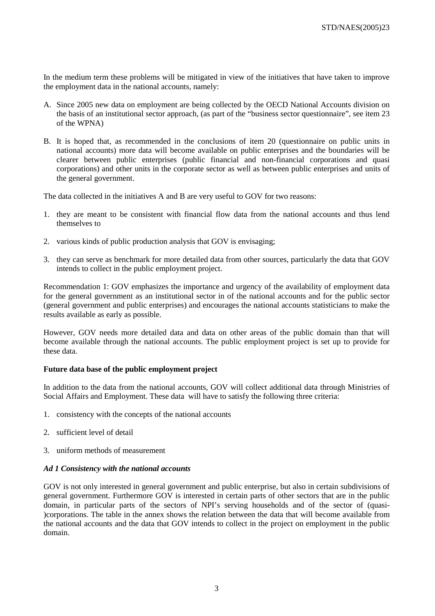In the medium term these problems will be mitigated in view of the initiatives that have taken to improve the employment data in the national accounts, namely:

- A. Since 2005 new data on employment are being collected by the OECD National Accounts division on the basis of an institutional sector approach, (as part of the "business sector questionnaire", see item 23 of the WPNA)
- B. It is hoped that, as recommended in the conclusions of item 20 (questionnaire on public units in national accounts) more data will become available on public enterprises and the boundaries will be clearer between public enterprises (public financial and non-financial corporations and quasi corporations) and other units in the corporate sector as well as between public enterprises and units of the general government.

The data collected in the initiatives A and B are very useful to GOV for two reasons:

- 1. they are meant to be consistent with financial flow data from the national accounts and thus lend themselves to
- 2. various kinds of public production analysis that GOV is envisaging;
- 3. they can serve as benchmark for more detailed data from other sources, particularly the data that GOV intends to collect in the public employment project.

Recommendation 1: GOV emphasizes the importance and urgency of the availability of employment data for the general government as an institutional sector in of the national accounts and for the public sector (general government and public enterprises) and encourages the national accounts statisticians to make the results available as early as possible.

However, GOV needs more detailed data and data on other areas of the public domain than that will become available through the national accounts. The public employment project is set up to provide for these data.

# **Future data base of the public employment project**

In addition to the data from the national accounts, GOV will collect additional data through Ministries of Social Affairs and Employment. These data will have to satisfy the following three criteria:

- 1. consistency with the concepts of the national accounts
- 2. sufficient level of detail
- 3. uniform methods of measurement

#### *Ad 1 Consistency with the national accounts*

GOV is not only interested in general government and public enterprise, but also in certain subdivisions of general government. Furthermore GOV is interested in certain parts of other sectors that are in the public domain, in particular parts of the sectors of NPI's serving households and of the sector of (quasi- )corporations. The table in the annex shows the relation between the data that will become available from the national accounts and the data that GOV intends to collect in the project on employment in the public domain.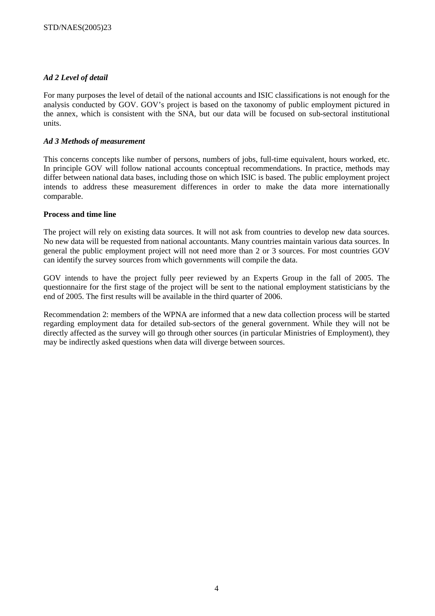# *Ad 2 Level of detail*

For many purposes the level of detail of the national accounts and ISIC classifications is not enough for the analysis conducted by GOV. GOV's project is based on the taxonomy of public employment pictured in the annex, which is consistent with the SNA, but our data will be focused on sub-sectoral institutional units.

# *Ad 3 Methods of measurement*

This concerns concepts like number of persons, numbers of jobs, full-time equivalent, hours worked, etc. In principle GOV will follow national accounts conceptual recommendations. In practice, methods may differ between national data bases, including those on which ISIC is based. The public employment project intends to address these measurement differences in order to make the data more internationally comparable.

#### **Process and time line**

The project will rely on existing data sources. It will not ask from countries to develop new data sources. No new data will be requested from national accountants. Many countries maintain various data sources. In general the public employment project will not need more than 2 or 3 sources. For most countries GOV can identify the survey sources from which governments will compile the data.

GOV intends to have the project fully peer reviewed by an Experts Group in the fall of 2005. The questionnaire for the first stage of the project will be sent to the national employment statisticians by the end of 2005. The first results will be available in the third quarter of 2006.

Recommendation 2: members of the WPNA are informed that a new data collection process will be started regarding employment data for detailed sub-sectors of the general government. While they will not be directly affected as the survey will go through other sources (in particular Ministries of Employment), they may be indirectly asked questions when data will diverge between sources.